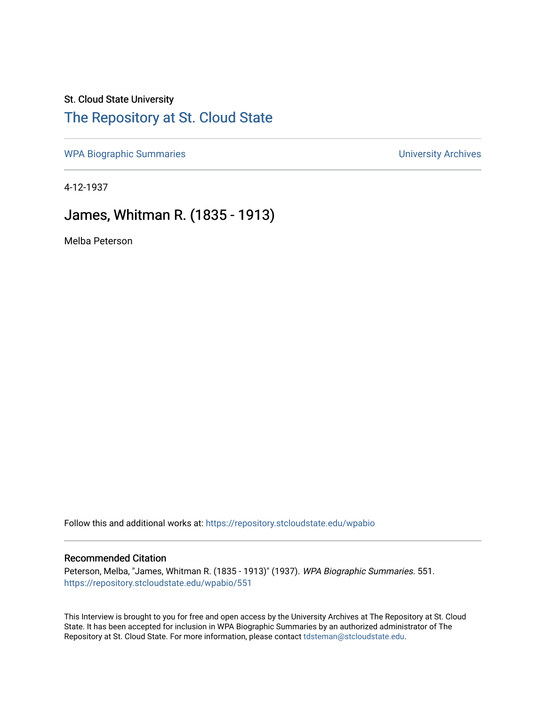## St. Cloud State University [The Repository at St. Cloud State](https://repository.stcloudstate.edu/)

[WPA Biographic Summaries](https://repository.stcloudstate.edu/wpabio) **WPA Biographic Summaries University Archives** 

4-12-1937

## James, Whitman R. (1835 - 1913)

Melba Peterson

Follow this and additional works at: [https://repository.stcloudstate.edu/wpabio](https://repository.stcloudstate.edu/wpabio?utm_source=repository.stcloudstate.edu%2Fwpabio%2F551&utm_medium=PDF&utm_campaign=PDFCoverPages) 

#### Recommended Citation

Peterson, Melba, "James, Whitman R. (1835 - 1913)" (1937). WPA Biographic Summaries. 551. [https://repository.stcloudstate.edu/wpabio/551](https://repository.stcloudstate.edu/wpabio/551?utm_source=repository.stcloudstate.edu%2Fwpabio%2F551&utm_medium=PDF&utm_campaign=PDFCoverPages) 

This Interview is brought to you for free and open access by the University Archives at The Repository at St. Cloud State. It has been accepted for inclusion in WPA Biographic Summaries by an authorized administrator of The Repository at St. Cloud State. For more information, please contact [tdsteman@stcloudstate.edu.](mailto:tdsteman@stcloudstate.edu)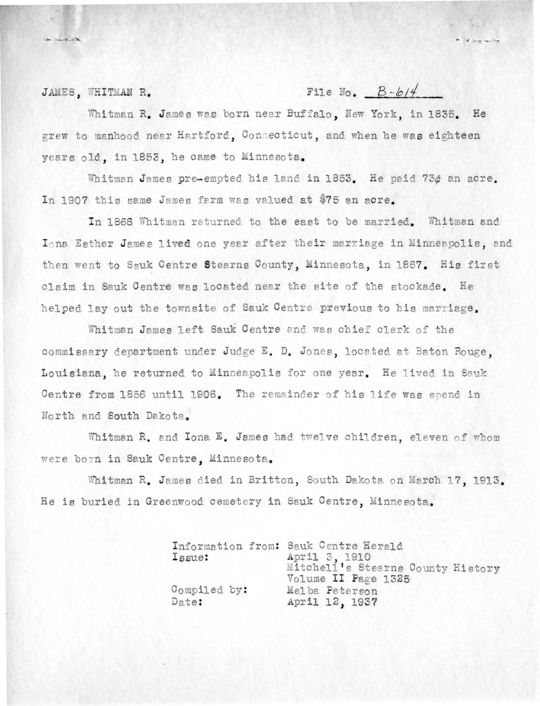JAMES, WHITMAN R.

File No.  $B-b14$ 

Whitman R. James was born near Buffalo. New York, in 1835. He grew to manhood near Hartford, Connecticut, and when he was eighteen years old, in 1853, he came to Minnesota.

Whitman James pre-empted his land in 1853. He paid 73¢ an acre. In 1907 this same James farm was valued at \$75 an acre.

In 1866 Whitman returned to the east to be married. Whitman and Iona Esther James lived one year after their marriage in Minneapolis, and then went to Sauk Centre Stearns County, Minnesota, in 1867. His first claim in Sauk Centre was located near the site of the stockade. He helped lay out the townsite of Sauk Centre previous to his marriage.

Whitman James left Sauk Centre and was chief clerk of the commissary department under Judge E. D. Jones, located at Baton Rouge, Louisiana, he returned to Minneapolis for one year. He lived in Sauk Centre from 1856 until 1906. The remainder of his life was spend in North and South Dakota.

Whitman R. and Iona E. James had twelve children. eleven of whom were born in Sauk Centre. Minnesota.

Whitman R. James died in Britton, South Dakota on March 17, 1913. He is buried in Greenwood cemetery in Sauk Centre, Minnesota.

| Issue:                |  | Information from: Sauk Centre Herald<br>April 3, 1910    |  |
|-----------------------|--|----------------------------------------------------------|--|
|                       |  | Mitchell's Stearns County History<br>Volume II Page 1325 |  |
| Compiled by:<br>Date: |  | Melba Peterson<br>April 12, 1937                         |  |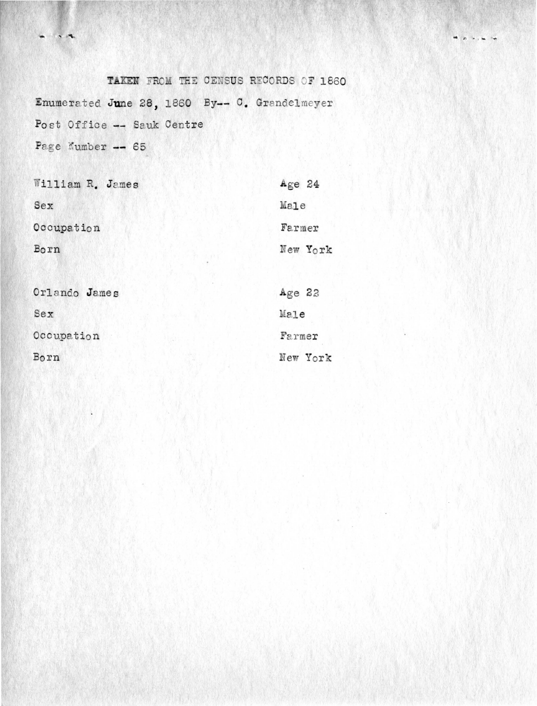TAKEN FROM THE CENSUS RECORDS OF 1860 Enumerated June 28, 1860 By-- C. Grandelmeyer Post Office -- Sauk Centre Page Number -- 65

 $\begin{array}{c} \bullet \quad \bullet \quad \bullet \quad \bullet \end{array}$ 

| William R. James | Age 24   |
|------------------|----------|
| Sex              | Male     |
| Occupation       | Farmer   |
| Born             | New York |
|                  |          |
| Orlando James    | Age 22   |
| Sex              | Male     |
| Occupation       | Farmer   |
| Born             | New York |